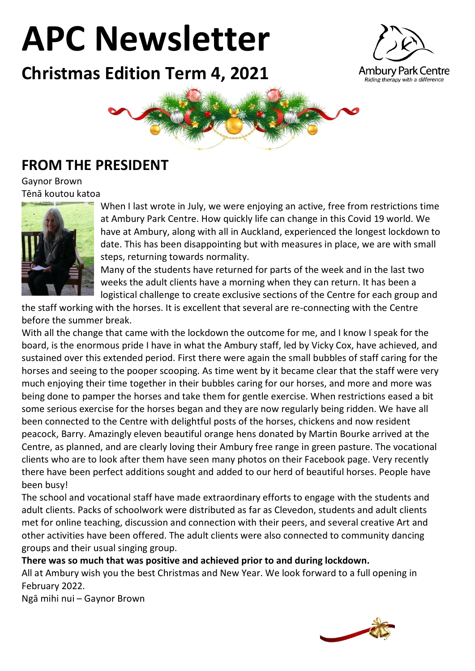# **APC Newsletter**

**Christmas Edition Term 4, 2021**





#### **FROM THE PRESIDENT**

Gaynor Brown Tēnā koutou katoa



When I last wrote in July, we were enjoying an active, free from restrictions time at Ambury Park Centre. How quickly life can change in this Covid 19 world. We have at Ambury, along with all in Auckland, experienced the longest lockdown to date. This has been disappointing but with measures in place, we are with small steps, returning towards normality.

Many of the students have returned for parts of the week and in the last two weeks the adult clients have a morning when they can return. It has been a logistical challenge to create exclusive sections of the Centre for each group and

the staff working with the horses. It is excellent that several are re-connecting with the Centre before the summer break.

With all the change that came with the lockdown the outcome for me, and I know I speak for the board, is the enormous pride I have in what the Ambury staff, led by Vicky Cox, have achieved, and sustained over this extended period. First there were again the small bubbles of staff caring for the horses and seeing to the pooper scooping. As time went by it became clear that the staff were very much enjoying their time together in their bubbles caring for our horses, and more and more was being done to pamper the horses and take them for gentle exercise. When restrictions eased a bit some serious exercise for the horses began and they are now regularly being ridden. We have all been connected to the Centre with delightful posts of the horses, chickens and now resident peacock, Barry. Amazingly eleven beautiful orange hens donated by Martin Bourke arrived at the Centre, as planned, and are clearly loving their Ambury free range in green pasture. The vocational clients who are to look after them have seen many photos on their Facebook page. Very recently there have been perfect additions sought and added to our herd of beautiful horses. People have been busy!

The school and vocational staff have made extraordinary efforts to engage with the students and adult clients. Packs of schoolwork were distributed as far as Clevedon, students and adult clients met for online teaching, discussion and connection with their peers, and several creative Art and other activities have been offered. The adult clients were also connected to community dancing groups and their usual singing group.

**There was so much that was positive and achieved prior to and during lockdown.** 

All at Ambury wish you the best Christmas and New Year. We look forward to a full opening in February 2022.

Ngā mihi nui – Gaynor Brown

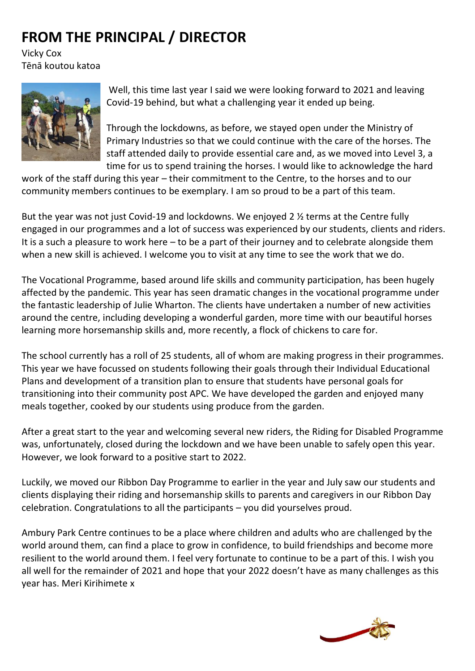# **FROM THE PRINCIPAL / DIRECTOR**

Vicky Cox Tēnā koutou katoa



Well, this time last year I said we were looking forward to 2021 and leaving Covid-19 behind, but what a challenging year it ended up being.

Through the lockdowns, as before, we stayed open under the Ministry of Primary Industries so that we could continue with the care of the horses. The staff attended daily to provide essential care and, as we moved into Level 3, a time for us to spend training the horses. I would like to acknowledge the hard

work of the staff during this year – their commitment to the Centre, to the horses and to our community members continues to be exemplary. I am so proud to be a part of this team.

But the year was not just Covid-19 and lockdowns. We enjoyed 2 ½ terms at the Centre fully engaged in our programmes and a lot of success was experienced by our students, clients and riders. It is a such a pleasure to work here – to be a part of their journey and to celebrate alongside them when a new skill is achieved. I welcome you to visit at any time to see the work that we do.

The Vocational Programme, based around life skills and community participation, has been hugely affected by the pandemic. This year has seen dramatic changes in the vocational programme under the fantastic leadership of Julie Wharton. The clients have undertaken a number of new activities around the centre, including developing a wonderful garden, more time with our beautiful horses learning more horsemanship skills and, more recently, a flock of chickens to care for.

The school currently has a roll of 25 students, all of whom are making progress in their programmes. This year we have focussed on students following their goals through their Individual Educational Plans and development of a transition plan to ensure that students have personal goals for transitioning into their community post APC. We have developed the garden and enjoyed many meals together, cooked by our students using produce from the garden.

After a great start to the year and welcoming several new riders, the Riding for Disabled Programme was, unfortunately, closed during the lockdown and we have been unable to safely open this year. However, we look forward to a positive start to 2022.

Luckily, we moved our Ribbon Day Programme to earlier in the year and July saw our students and clients displaying their riding and horsemanship skills to parents and caregivers in our Ribbon Day celebration. Congratulations to all the participants – you did yourselves proud.

Ambury Park Centre continues to be a place where children and adults who are challenged by the world around them, can find a place to grow in confidence, to build friendships and become more resilient to the world around them. I feel very fortunate to continue to be a part of this. I wish you all well for the remainder of 2021 and hope that your 2022 doesn't have as many challenges as this year has. Meri Kirihimete x

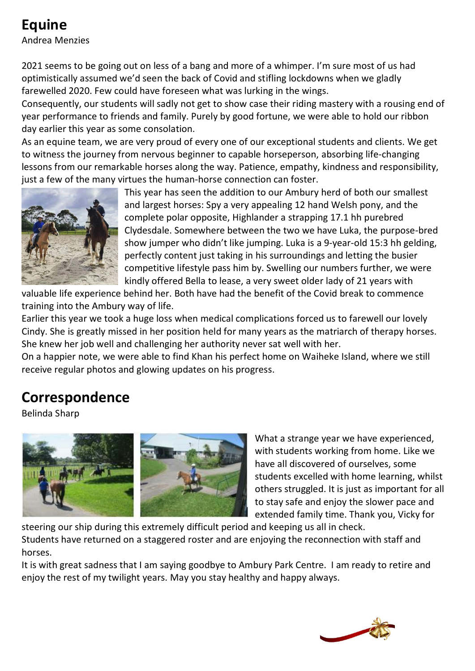## **Equine**

Andrea Menzies

2021 seems to be going out on less of a bang and more of a whimper. I'm sure most of us had optimistically assumed we'd seen the back of Covid and stifling lockdowns when we gladly farewelled 2020. Few could have foreseen what was lurking in the wings.

Consequently, our students will sadly not get to show case their riding mastery with a rousing end of year performance to friends and family. Purely by good fortune, we were able to hold our ribbon day earlier this year as some consolation.

As an equine team, we are very proud of every one of our exceptional students and clients. We get to witness the journey from nervous beginner to capable horseperson, absorbing life-changing lessons from our remarkable horses along the way. Patience, empathy, kindness and responsibility, just a few of the many virtues the human-horse connection can foster.



This year has seen the addition to our Ambury herd of both our smallest and largest horses: Spy a very appealing 12 hand Welsh pony, and the complete polar opposite, Highlander a strapping 17.1 hh purebred Clydesdale. Somewhere between the two we have Luka, the purpose-bred show jumper who didn't like jumping. Luka is a 9-year-old 15:3 hh gelding, perfectly content just taking in his surroundings and letting the busier competitive lifestyle pass him by. Swelling our numbers further, we were kindly offered Bella to lease, a very sweet older lady of 21 years with

valuable life experience behind her. Both have had the benefit of the Covid break to commence training into the Ambury way of life.

Earlier this year we took a huge loss when medical complications forced us to farewell our lovely Cindy. She is greatly missed in her position held for many years as the matriarch of therapy horses. She knew her job well and challenging her authority never sat well with her.

On a happier note, we were able to find Khan his perfect home on Waiheke Island, where we still receive regular photos and glowing updates on his progress.

## **Correspondence**

Belinda Sharp



What a strange year we have experienced, with students working from home. Like we have all discovered of ourselves, some students excelled with home learning, whilst others struggled. It is just as important for all to stay safe and enjoy the slower pace and extended family time. Thank you, Vicky for

steering our ship during this extremely difficult period and keeping us all in check. Students have returned on a staggered roster and are enjoying the reconnection with staff and horses.

It is with great sadness that I am saying goodbye to Ambury Park Centre. I am ready to retire and enjoy the rest of my twilight years. May you stay healthy and happy always.

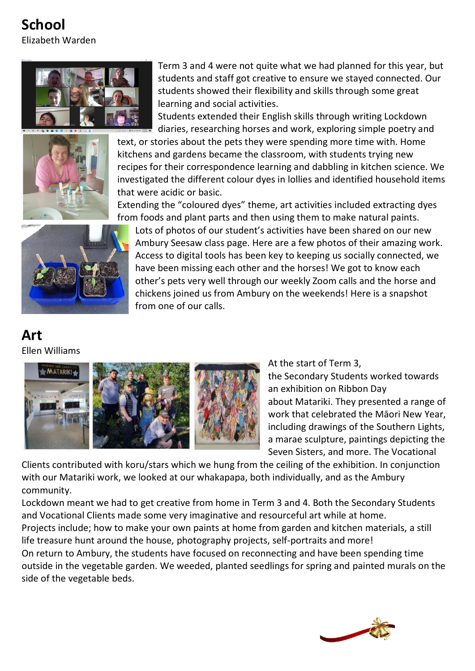**School** Elizabeth Warden





Term 3 and 4 were not quite what we had planned for this year, but students and staff got creative to ensure we stayed connected. Our students showed their flexibility and skills through some great learning and social activities.

Students extended their English skills through writing Lockdown diaries, researching horses and work, exploring simple poetry and

text, or stories about the pets they were spending more time with. Home kitchens and gardens became the classroom, with students trying new recipes for their correspondence learning and dabbling in kitchen science. We investigated the different colour dyes in lollies and identified household items that were acidic or basic.

Extending the "coloured dyes" theme, art activities included extracting dyes from foods and plant parts and then using them to make natural paints.



Lots of photos of our student's activities have been shared on our new Ambury Seesaw class page. Here are a few photos of their amazing work. Access to digital tools has been key to keeping us socially connected, we have been missing each other and the horses! We got to know each other's pets very well through our weekly Zoom calls and the horse and chickens joined us from Ambury on the weekends! Here is a snapshot from one of our calls.

#### **Art** Ellen Williams



At the start of Term 3, the Secondary Students worked towards an exhibition on Ribbon Day about Matariki. They presented a range of work that celebrated the Māori New Year, including drawings of the Southern Lights, a marae sculpture, paintings depicting the Seven Sisters, and more. The Vocational

Clients contributed with koru/stars which we hung from the ceiling of the exhibition. In conjunction with our Matariki work, we looked at our whakapapa, both individually, and as the Ambury community.

Lockdown meant we had to get creative from home in Term 3 and 4. Both the Secondary Students and Vocational Clients made some very imaginative and resourceful art while at home. Projects include; how to make your own paints at home from garden and kitchen materials, a still life treasure hunt around the house, photography projects, self-portraits and more! On return to Ambury, the students have focused on reconnecting and have been spending time outside in the vegetable garden. We weeded, planted seedlings for spring and painted murals on the side of the vegetable beds.

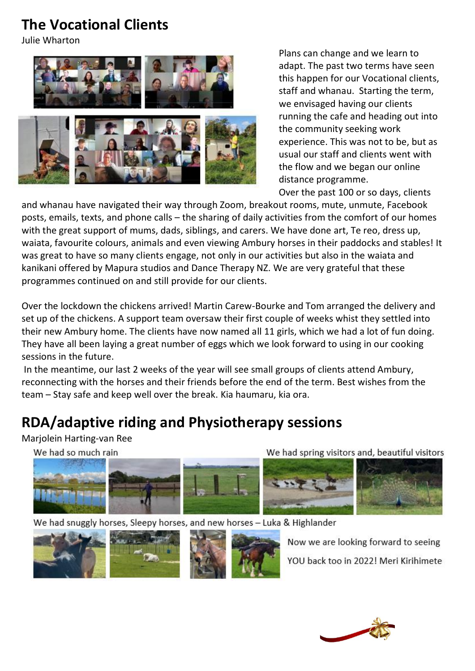#### **The Vocational Clients**

Julie Wharton





Plans can change and we learn to adapt. The past two terms have seen this happen for our Vocational clients, staff and whanau. Starting the term, we envisaged having our clients running the cafe and heading out into the community seeking work experience. This was not to be, but as usual our staff and clients went with the flow and we began our online distance programme.

Over the past 100 or so days, clients

and whanau have navigated their way through Zoom, breakout rooms, mute, unmute, Facebook posts, emails, texts, and phone calls – the sharing of daily activities from the comfort of our homes with the great support of mums, dads, siblings, and carers. We have done art, Te reo, dress up, waiata, favourite colours, animals and even viewing Ambury horses in their paddocks and stables! It was great to have so many clients engage, not only in our activities but also in the waiata and kanikani offered by Mapura studios and Dance Therapy NZ. We are very grateful that these programmes continued on and still provide for our clients.

Over the lockdown the chickens arrived! Martin Carew-Bourke and Tom arranged the delivery and set up of the chickens. A support team oversaw their first couple of weeks whist they settled into their new Ambury home. The clients have now named all 11 girls, which we had a lot of fun doing. They have all been laying a great number of eggs which we look forward to using in our cooking sessions in the future.

In the meantime, our last 2 weeks of the year will see small groups of clients attend Ambury, reconnecting with the horses and their friends before the end of the term. Best wishes from the team – Stay safe and keep well over the break. Kia haumaru, kia ora.

## **RDA/adaptive riding and Physiotherapy sessions**

Marjolein Harting-van Ree

We had so much rain

We had spring visitors and, beautiful visitors



We had snuggly horses, Sleepy horses, and new horses - Luka & Highlander



Now we are looking forward to seeing YOU back too in 2022! Meri Kirihimete